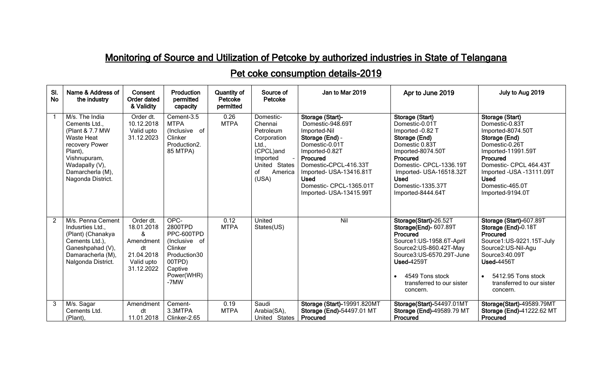## Monitoring of Source and Utilization of Petcoke by authorized industries in State of Telangana

## Pet coke consumption details-2019

| SI.<br><b>No</b> | Name & Address of<br>the industry                                                                                                                                               | Consent<br><b>Order dated</b><br>& Validity                                               | <b>Production</b><br>permitted<br>capacity                                                                           | <b>Quantity of</b><br>Petcoke<br>permitted | Source of<br>Petcoke                                                                                                          | Jan to Mar 2019                                                                                                                                                                                                                                  | Apr to June 2019                                                                                                                                                                                                                         | July to Aug 2019                                                                                                                                                                                                                          |
|------------------|---------------------------------------------------------------------------------------------------------------------------------------------------------------------------------|-------------------------------------------------------------------------------------------|----------------------------------------------------------------------------------------------------------------------|--------------------------------------------|-------------------------------------------------------------------------------------------------------------------------------|--------------------------------------------------------------------------------------------------------------------------------------------------------------------------------------------------------------------------------------------------|------------------------------------------------------------------------------------------------------------------------------------------------------------------------------------------------------------------------------------------|-------------------------------------------------------------------------------------------------------------------------------------------------------------------------------------------------------------------------------------------|
|                  | M/s. The India<br>Cements Ltd.,<br>(Plant & 7.7 MW<br><b>Waste Heat</b><br>recovery Power<br>Plant),<br>Vishnupuram,<br>Wadapally (V),<br>Damarcherla (M),<br>Nagonda District. | Order dt.<br>10.12.2018<br>Valid upto<br>31.12.2023                                       | Cement-3.5<br><b>MTPA</b><br>(Inclusive of<br>Clinker<br>Production2.<br>85 MTPA)                                    | 0.26<br><b>MTPA</b>                        | Domestic-<br>Chennai<br>Petroleum<br>Corporation<br>Ltd.,<br>(CPCL)and<br>Imported<br>United States<br>America<br>οf<br>(USA) | Storage (Start)-<br>Domestic-948.69T<br>Imported-Nil<br>Storage (End) -<br>Domestic-0.01T<br>Imported-0.82T<br>Procured<br>Domestic-CPCL-416.33T<br>Imported- USA-13416.81T<br><b>Used</b><br>Domestic- CPCL-1365.01T<br>Imported- USA-13415.99T | Storage (Start)<br>Domestic-0.01T<br>Imported -0.82 T<br>Storage (End)<br>Domestic 0.83T<br>Imported-8074.50T<br>Procured<br>Domestic- CPCL-1336.19T<br>Imported- USA-16518.32T<br><b>Used</b><br>Domestic-1335.37T<br>Imported-8444.64T | Storage (Start)<br>Domestic-0.83T<br>Imported-8074.50T<br>Storage (End)<br>Domestic-0.26T<br>Imported-11991.59T<br>Procured<br>Domestic- CPCL 464.43T<br>Imported - USA - 13111.09T<br><b>Used</b><br>Domestic-465.0T<br>Imported-9194.0T |
| $\mathcal{P}$    | M/s. Penna Cement<br>Indusrties Ltd.,<br>(Plant) (Chanakya<br>Cements Ltd.),<br>Ganeshpahad (V),<br>Damaracherla (M),<br>Nalgonda District.                                     | Order dt.<br>18.01.2018<br>&<br>Amendment<br>dt<br>21.04.2018<br>Valid upto<br>31.12.2022 | OPC-<br>2800TPD<br>PPC-600TPD<br>(Inclusive of<br>Clinker<br>Production30<br>00TPD)<br>Captive<br>Power(WHR)<br>-7MW | 0.12<br><b>MTPA</b>                        | United<br>States(US)                                                                                                          | Nil                                                                                                                                                                                                                                              | Storage(Start)-26.52T<br>Storage(End)- 607.89T<br><b>Procured</b><br>Source1:US-1958.6T-April<br>Source2:US-860.42T-May<br>Source3:US-6570.29T-June<br><b>Used-4259T</b><br>4549 Tons stock<br>transferred to our sister<br>concern.     | Storage (Start)-607.89T<br>Storage (End)-0.18T<br>Procured<br>Source1:US-9221.15T-July<br>Source2:US-Nil-Agu<br>Source3:40.09T<br><b>Used-4456T</b><br>5412.95 Tons stock<br>transferred to our sister<br>concern.                        |
| 3                | M/s. Sagar<br>Cements Ltd.<br>(Plant),                                                                                                                                          | Amendment<br>dt<br>11.01.2018                                                             | Cement-<br>3.3MTPA<br>Clinker-2.65                                                                                   | 0.19<br><b>MTPA</b>                        | Saudi<br>Arabia(SA),<br>United States                                                                                         | Storage (Start)-19991.820MT<br>Storage (End)-54497.01 MT<br>Procured                                                                                                                                                                             | Storage(Start)-54497.01MT<br>Storage (End)-49589.79 MT<br>Procured                                                                                                                                                                       | Storage(Start)-49589.79MT<br>Storage (End)-41222.62 MT<br>Procured                                                                                                                                                                        |